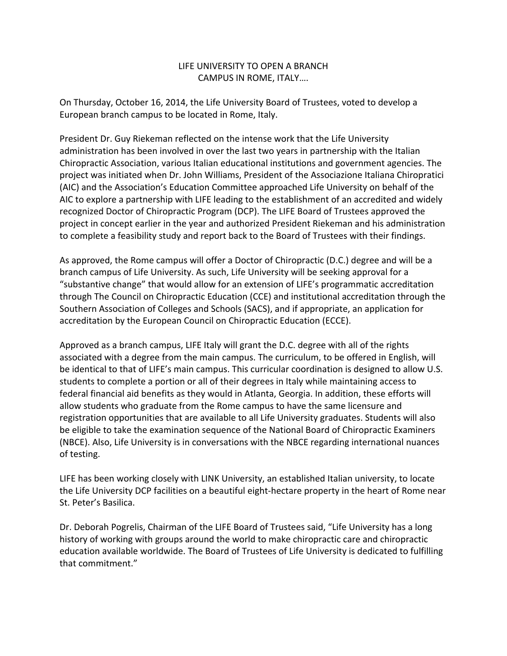## LIFE UNIVERSITY TO OPEN A BRANCH. CAMPUS IN ROME, ITALY....

On Thursday, October 16, 2014, the Life University Board of Trustees, voted to develop a European branch campus to be located in Rome, Italy.

President Dr. Guy Riekeman reflected on the intense work that the Life University administration has been involved in over the last two years in partnership with the Italian Chiropractic Association, various Italian educational institutions and government agencies. The project was initiated when Dr. John Williams, President of the Associazione Italiana Chiropratici (AIC) and the Association's Education Committee approached Life University on behalf of the AIC to explore a partnership with LIFE leading to the establishment of an accredited and widely recognized Doctor of Chiropractic Program (DCP). The LIFE Board of Trustees approved the project in concept earlier in the year and authorized President Riekeman and his administration to complete a feasibility study and report back to the Board of Trustees with their findings.

As approved, the Rome campus will offer a Doctor of Chiropractic (D.C.) degree and will be a branch campus of Life University. As such, Life University will be seeking approval for a "substantive change" that would allow for an extension of LIFE's programmatic accreditation through The Council on Chiropractic Education (CCE) and institutional accreditation through the Southern Association of Colleges and Schools (SACS), and if appropriate, an application for accreditation by the European Council on Chiropractic Education (ECCE).

Approved as a branch campus, LIFE Italy will grant the D.C. degree with all of the rights associated with a degree from the main campus. The curriculum, to be offered in English, will be identical to that of LIFE's main campus. This curricular coordination is designed to allow U.S. students to complete a portion or all of their degrees in Italy while maintaining access to federal financial aid benefits as they would in Atlanta, Georgia. In addition, these efforts will allow students who graduate from the Rome campus to have the same licensure and registration opportunities that are available to all Life University graduates. Students will also be eligible to take the examination sequence of the National Board of Chiropractic Examiners (NBCE). Also, Life University is in conversations with the NBCE regarding international nuances of testing.

LIFE has been working closely with LINK University, an established Italian university, to locate the Life University DCP facilities on a beautiful eight-hectare property in the heart of Rome near St. Peter's Basilica.

Dr. Deborah Pogrelis, Chairman of the LIFE Board of Trustees said, "Life University has a long history of working with groups around the world to make chiropractic care and chiropractic education available worldwide. The Board of Trustees of Life University is dedicated to fulfilling that commitment."